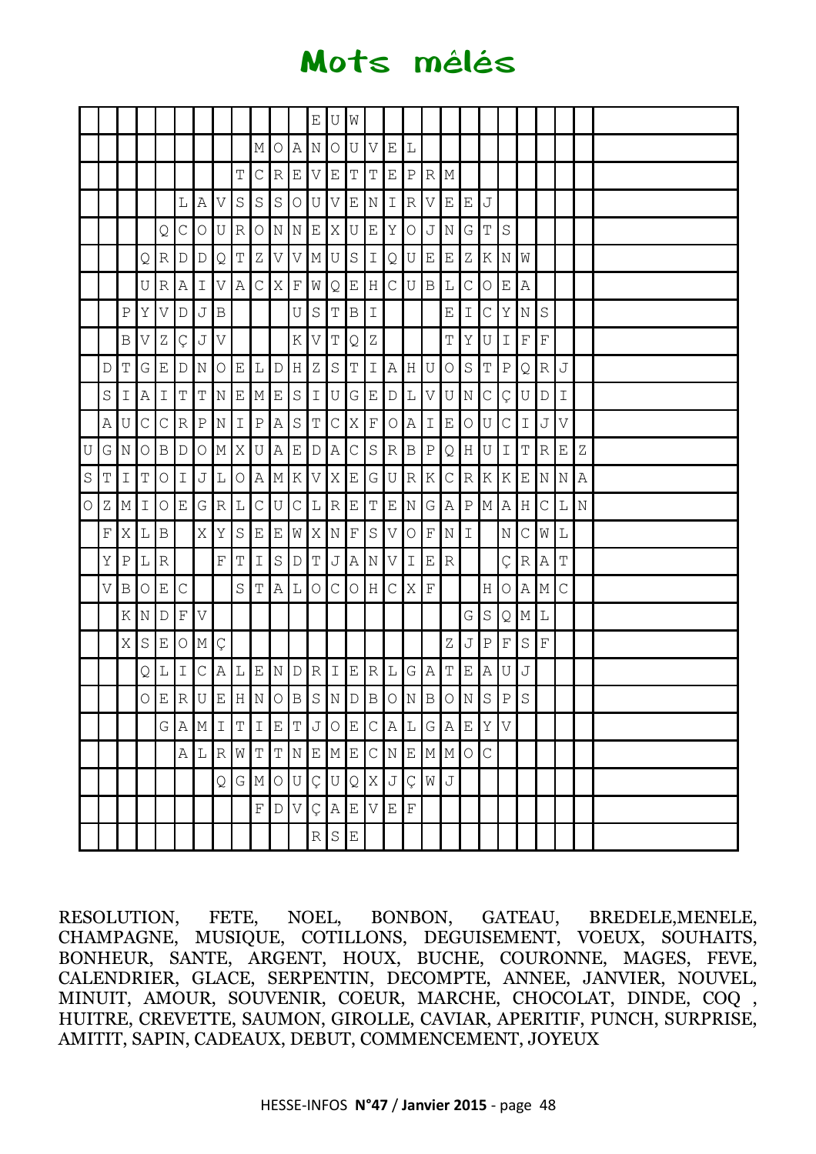# Mots mêlés

|            |             |               |                         |                |                  |              |                                         |                |                         |                           |                           | Е                | U                     | W              |                       |             |                 |                                                                                                |                             |                           |              |               |             |             |               |   |  |
|------------|-------------|---------------|-------------------------|----------------|------------------|--------------|-----------------------------------------|----------------|-------------------------|---------------------------|---------------------------|------------------|-----------------------|----------------|-----------------------|-------------|-----------------|------------------------------------------------------------------------------------------------|-----------------------------|---------------------------|--------------|---------------|-------------|-------------|---------------|---|--|
|            |             |               |                         |                |                  |              |                                         |                | М                       | $\circ$                   | $\mathbb{A}$              | Ν                | $\bigcirc$            | U              | $\boldsymbol{\nabla}$ | $\mathbf E$ | L               |                                                                                                |                             |                           |              |               |             |             |               |   |  |
|            |             |               |                         |                |                  |              |                                         | $\mathbb T$    | С                       | $\ensuremath{\mathbb{R}}$ | E                         | V                | $\mathbf E$           | $\mathbf T$    | $\mathbf T$           | Ε           | $\, {\bf P}$    | $\, {\bf R} \,$                                                                                | М                           |                           |              |               |             |             |               |   |  |
|            |             |               |                         |                | L                | Α            | V                                       | $\rm S$        | $\rm S$                 | $\rm S$                   | $\bigcirc$                | U                | $\boldsymbol{\nabla}$ | $\mathbf E$    | $\rm N$               | I           | $\mathbb R$     | V                                                                                              | Ε                           | Е                         | $\mathbb J$  |               |             |             |               |   |  |
|            |             |               |                         | Q              | $\mathsf C$      | $\bigcirc$   | U                                       | R              | $\bigcirc$              |                           | NN                        | $\mathbf{E}$     | X                     | U              | $\mathbf E$           | Υ           | $\bigcirc$      | J                                                                                              | Ν                           | G                         | $\mathbf T$  | $\rm S$       |             |             |               |   |  |
|            |             |               | Q                       | R <sub>1</sub> | $\mathbb D$      | $\mathbb D$  | $\mathsf{Q}$                            | $\mathbb T$    | $\rm{Z}$                | $\boldsymbol{\nabla}$     | V                         | М                | $\mathbf U$           | $\rm S$        | $\mathbbm{I}$         | Q           | U               | $\mathbf{E}% _{t}\left  \mathbf{1}\right\rangle =\mathbf{1}_{t}\left  \mathbf{1}\right\rangle$ | $\mathop{}\!\textnormal{E}$ | $\rm{Z}$                  | $\rm K$      | $\mathbb N$   | W           |             |               |   |  |
|            |             |               | U                       | R              | $\, {\bf A}$     | Ι            | V                                       | $\overline{A}$ | $\mathsf C$             | X                         | $\mathbf{F}% _{0}$        | W                | Q                     | $\mathbf E$    | $\rm H$               | С           | U               | $\, {\bf B}$                                                                                   | L                           | $\mathsf C$               | $\bigcirc$   | $\mathbf E$   | Α           |             |               |   |  |
|            |             | $\, {\bf P}$  | Υ                       | $\vee$         | $\mathbb D$      | J            | $\, {\bf B}$                            |                |                         |                           | U                         | $S_{\rm}$        | $\mathbb T$           | $\overline{B}$ | $\mathbf I$           |             |                 |                                                                                                | E                           | I                         | $\mathsf C$  | $\,$ Y $\,$   | $\,$ N $\,$ | S           |               |   |  |
|            |             | B             | V                       | Ζ              | Ç                | J            | V                                       |                |                         |                           | Κ                         | V                | $\mathbb T$           | Q              | $\rm{Z}$              |             |                 |                                                                                                | Т                           | Υ                         | U            | $\mathbbm{I}$ | $\mathbf F$ | $\mathbf F$ |               |   |  |
|            | D           | $\mathbb T$   | G                       | Ε              | D                | Ν            | $\bigcirc$                              | E              | L                       | $\mathbb D$               | H                         | Ζ                | $\mathbf S$           | T              | $\mathbbm{I}$         | A           | H               | U                                                                                              | $\bigcirc$                  | $\rm S$                   | $\mathbf T$  | $\, {\bf P}$  | Q           | $\vert$ R   | J             |   |  |
|            | $\rm S$     | $\mathbbm{I}$ | $\mathbb A$             | I              | $\mathbb T$      | T            | NE                                      |                | $\mathbf{M}$            | E                         | $\ensuremath{\mathsf{S}}$ | $\mathbbm{1}$    | $\mathbf U$           | $\overline{G}$ | $\mathbf E$           | D           | L               | V                                                                                              | U                           | $\rm N$                   | $\mathsf C$  | Ç             | $\mathbf U$ | $\mathbb D$ | $\mathbbm{I}$ |   |  |
|            | Α           | U             | $\mathsf C$             | $\mathsf C$    | $\, {\mathbb R}$ | $\, {\bf P}$ | $\rm N$                                 | $\mathbbm{I}$  | $\, {\bf P}$            | $\mathbb A$               | $\rm S$                   | $\mathbb T$      | $\mathsf C$           | Χ              | $\mathbf F$           | $\bigcirc$  | Α               | $\mathbbm{I}$                                                                                  | $\mathbf E$                 | $\bigcirc$                | $\mathbf U$  | $\mathsf C$   | Ι           | $\mathbb J$ | V             |   |  |
| U          | G           | $\rm N$       | $\bigcirc$              | $\, {\bf B}$   | $\mathbb D$      | О            | $\mathbb M$                             | Χ              | U                       | $\mathbb A$               | Е                         | $\mathbb D$      | Α                     | $\mathsf C$    | $\mathbf S$           | $\mathbb R$ | $\, {\bf B} \,$ | ${\bf P}$                                                                                      | Q                           | $\rm H$                   | $\mathbf U$  | $\mathbf I$   | Т           | $\mathbb R$ | E             | Ζ |  |
| $\rm S$    | Τ           | $\mathbbm{I}$ | Τ                       | $\circ$        | Ι                | J            | L                                       | $\bigcirc$     |                         | AMK                       |                           | V                | $\mathbf X$           | $\mathbf E$    | G                     |             | U R             | Κ                                                                                              | $\mathsf C$                 | $\ensuremath{\mathbb{R}}$ | K            | K             |             | E N N       |               | Α |  |
| $\bigcirc$ | $\rm{Z}$    | М             | I                       | О              | Ε                |              | G R                                     | $\mathbb L$    | $\mathsf C$             | $\mathbf{U}$              | $\mathsf C$               | $\mathbb L$      | $\vert R \vert$       | E              | $\mathbf T$           | E           | $\mathbb{N}$    | G                                                                                              | $\mathbb A$                 | $\, {\bf P}$              | M A          |               | H           | $\mathsf C$ | L             | N |  |
|            | $\mathbf F$ | X             | L                       | $\, {\bf B}$   |                  | Χ            | Υ                                       | $\rm S$        | E                       | $\mathbf E$               | W                         | Χ                | $\rm N$               | $\mathbf F$    | $\rm S$               | V           | $\bigcirc$      | $\mathbb F$                                                                                    | Ν                           | Ι                         |              | Ν             | $\mathsf C$ | W           | L             |   |  |
|            | Υ           | $\, {\bf P}$  | L                       | $\mathbb R$    |                  |              | $\mathbf F$                             | $\mathbb T$    | $\mathbf I$             | $\ensuremath{\mathsf{S}}$ | $\mathbb D$               | T                | $\mathbb J$           | $\, {\bf A}$   | $\mathbf N$           | V           | I.              | Ε                                                                                              | R                           |                           |              | Ç             |             | R/A         | T             |   |  |
|            | V           | $\, {\bf B}$  | O                       | Ε              | $\mathsf{C}$     |              |                                         | $\rm S$        | $\mathbf T$             | A                         | $\mathbf L$               | $\bigcirc$       | $\mathsf C$           | $\circ$        | $\rm H$               | $\mathsf C$ | X               | $\mathbf F$                                                                                    |                             |                           | Η            | O             |             | A M         | С             |   |  |
|            |             | $\rm K$       | $\overline{\mathbb{N}}$ | D              | F                | V            |                                         |                |                         |                           |                           |                  |                       |                |                       |             |                 |                                                                                                |                             | G                         | $\mathbf S$  | Q             | М           | $\mathbb L$ |               |   |  |
|            |             | X             | $\rm S$                 | Ε              | $\bigcirc$       | $\mathbf M$  | Ç                                       |                |                         |                           |                           |                  |                       |                |                       |             |                 |                                                                                                | Z                           | J                         | $\, {\bf P}$ | $\mathbf F$   | S           | $\mathbf F$ |               |   |  |
|            |             |               | Q                       | L              | Ι                | C.           | Α                                       | L              | E                       | $\mathbb N$               | D                         | R                | Ι                     | Е              | R                     | L           | G               | Α                                                                                              | Т                           | Ε                         | $\,$ A       | U             | J           |             |               |   |  |
|            |             |               | 0                       | Ε              | R                | U            | Ε                                       | Iн             | $\overline{\mathbb{N}}$ | $\circ$                   | $\, {\bf B}$              | $\rm S$          | $\rm N$               | $\mathbb D$    | B                     | 0           | Ν               | B                                                                                              | О                           | N                         | $\mathbf S$  | $\mathbb{P}$  | $\rm S$     |             |               |   |  |
|            |             |               |                         |                |                  |              | $G[A[M]I[T]I[E]TJ]O[E]C[A][L]G[A]E[Y]V$ |                |                         |                           |                           |                  |                       |                |                       |             |                 |                                                                                                |                             |                           |              |               |             |             |               |   |  |
|            |             |               |                         |                |                  |              | A L R W T T N E M E C N E M M           |                |                         |                           |                           |                  |                       |                |                       |             |                 |                                                                                                |                             | $\circ$                   | $\mathsf C$  |               |             |             |               |   |  |
|            |             |               |                         |                |                  |              | Q                                       |                |                         | $G$ $M$ $O$ $U$           |                           | Ç                |                       |                |                       | UQ[XJC]     |                 | $\rm W$                                                                                        | J                           |                           |              |               |             |             |               |   |  |
|            |             |               |                         |                |                  |              |                                         |                | $\mathbf{F}$            | D                         | $\boldsymbol{\nabla}$     | Ç                |                       | A E            | $\overline{V}$        | $\mathbf E$ | $\mathbf F$     |                                                                                                |                             |                           |              |               |             |             |               |   |  |
|            |             |               |                         |                |                  |              |                                         |                |                         |                           |                           | $\, {\mathbb R}$ | $\mathbf S$           | $\mathbf E$    |                       |             |                 |                                                                                                |                             |                           |              |               |             |             |               |   |  |

RESOLUTION, FETE, NOEL, BONBON, GATEAU, BREDELE,MENELE, CHAMPAGNE, MUSIQUE, COTILLONS, DEGUISEMENT, VOEUX, SOUHAITS, BONHEUR, SANTE, ARGENT, HOUX, BUCHE, COURONNE, MAGES, FEVE, CALENDRIER, GLACE, SERPENTIN, DECOMPTE, ANNEE, JANVIER, NOUVEL, MINUIT, AMOUR, SOUVENIR, COEUR, MARCHE, CHOCOLAT, DINDE, COQ , HUITRE, CREVETTE, SAUMON, GIROLLE, CAVIAR, APERITIF, PUNCH, SURPRISE, AMITIT, SAPIN, CADEAUX, DEBUT, COMMENCEMENT, JOYEUX